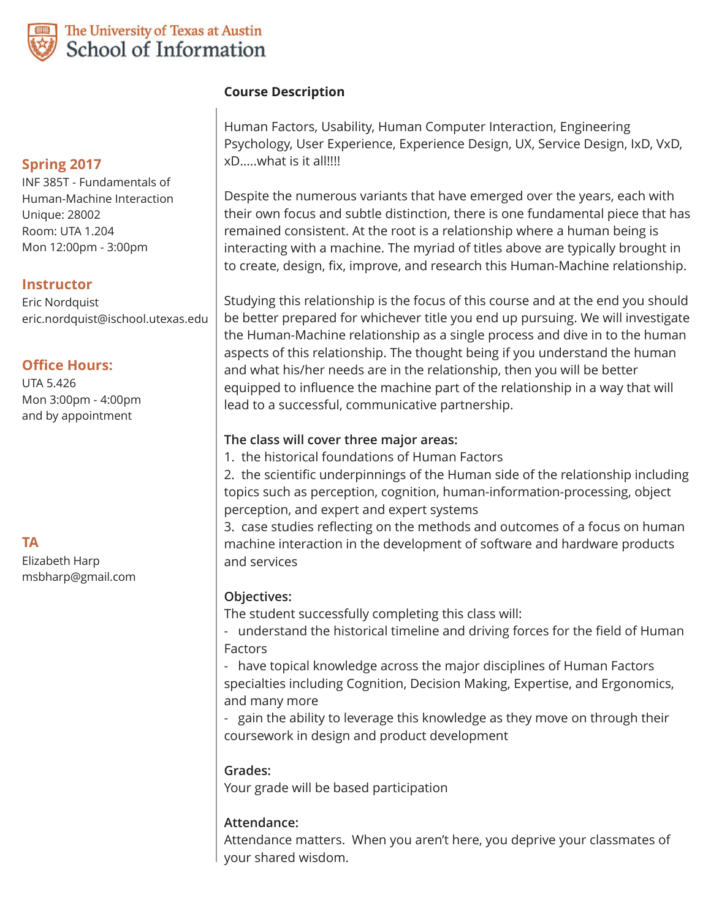

# The University of Texas at Austin School of Information

## **Spring 2017**

INF 385T - Fundamentals of Human-Machine Interaction Unique: 28002 Room: UTA 1.204 Mon 12:00pm - 3:00pm

## **Instructor**

Eric Nordquist eric.nordquist@ischool.utexas.edu

### **Office Hours:**

UTA 5.426 Mon 3:00pm - 4:00pm and by appointment

**TA**

Elizabeth Harp msbharp@gmail.com

## **Course Description**

Human Factors, Usability, Human Computer Interaction, Engineering Psychology, User Experience, Experience Design, UX, Service Design, IxD, VxD, xD…..what is it all!!!!

Despite the numerous variants that have emerged over the years, each with their own focus and subtle distinction, there is one fundamental piece that has remained consistent. At the root is a relationship where a human being is interacting with a machine. The myriad of titles above are typically brought in to create, design, fix, improve, and research this Human-Machine relationship.

Studying this relationship is the focus of this course and at the end you should be better prepared for whichever title you end up pursuing. We will investigate the Human-Machine relationship as a single process and dive in to the human aspects of this relationship. The thought being if you understand the human and what his/her needs are in the relationship, then you will be better equipped to influence the machine part of the relationship in a way that will lead to a successful, communicative partnership.

### **The class will cover three major areas:**

1. the historical foundations of Human Factors

2. the scientific underpinnings of the Human side of the relationship including topics such as perception, cognition, human-information-processing, object perception, and expert and expert systems

3. case studies reflecting on the methods and outcomes of a focus on human machine interaction in the development of software and hardware products and services

### **Objectives:**

The student successfully completing this class will:

- understand the historical timeline and driving forces for the field of Human Factors

- have topical knowledge across the major disciplines of Human Factors specialties including Cognition, Decision Making, Expertise, and Ergonomics, and many more

- gain the ability to leverage this knowledge as they move on through their coursework in design and product development

### **Grades:**

Your grade will be based participation

## **Attendance:**

Attendance matters. When you aren't here, you deprive your classmates of your shared wisdom.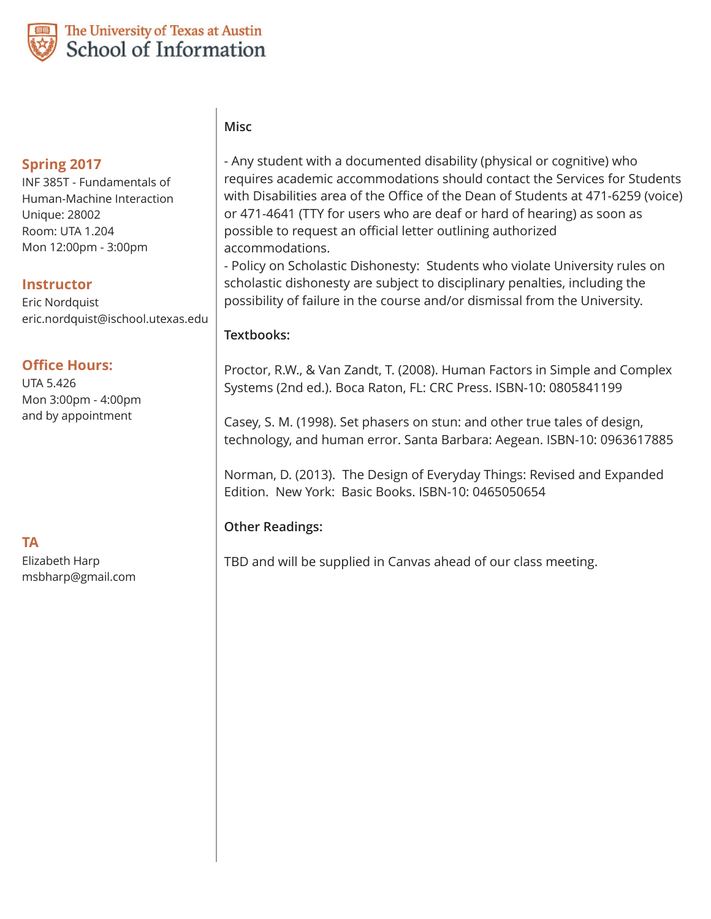

# The University of Texas at Austin School of Information

## **Spring 2017**

INF 385T - Fundamentals of Human-Machine Interaction Unique: 28002 Room: UTA 1.204 Mon 12:00pm - 3:00pm

## **Instructor**

Eric Nordquist eric.nordquist@ischool.utexas.edu

### **Office Hours:**

UTA 5.426 Mon 3:00pm - 4:00pm and by appointment

**TA**

Elizabeth Harp msbharp@gmail.com

# **Misc**

- Any student with a documented disability (physical or cognitive) who requires academic accommodations should contact the Services for Students with Disabilities area of the Office of the Dean of Students at 471-6259 (voice) or 471-4641 (TTY for users who are deaf or hard of hearing) as soon as possible to request an official letter outlining authorized accommodations.

- Policy on Scholastic Dishonesty: Students who violate University rules on scholastic dishonesty are subject to disciplinary penalties, including the possibility of failure in the course and/or dismissal from the University.

### **Textbooks:**

Proctor, R.W., & Van Zandt, T. (2008). Human Factors in Simple and Complex Systems (2nd ed.). Boca Raton, FL: CRC Press. ISBN-10: 0805841199

Casey, S. M. (1998). Set phasers on stun: and other true tales of design, technology, and human error. Santa Barbara: Aegean. ISBN-10: 0963617885

Norman, D. (2013). The Design of Everyday Things: Revised and Expanded Edition. New York: Basic Books. ISBN-10: 0465050654

## **Other Readings:**

TBD and will be supplied in Canvas ahead of our class meeting.